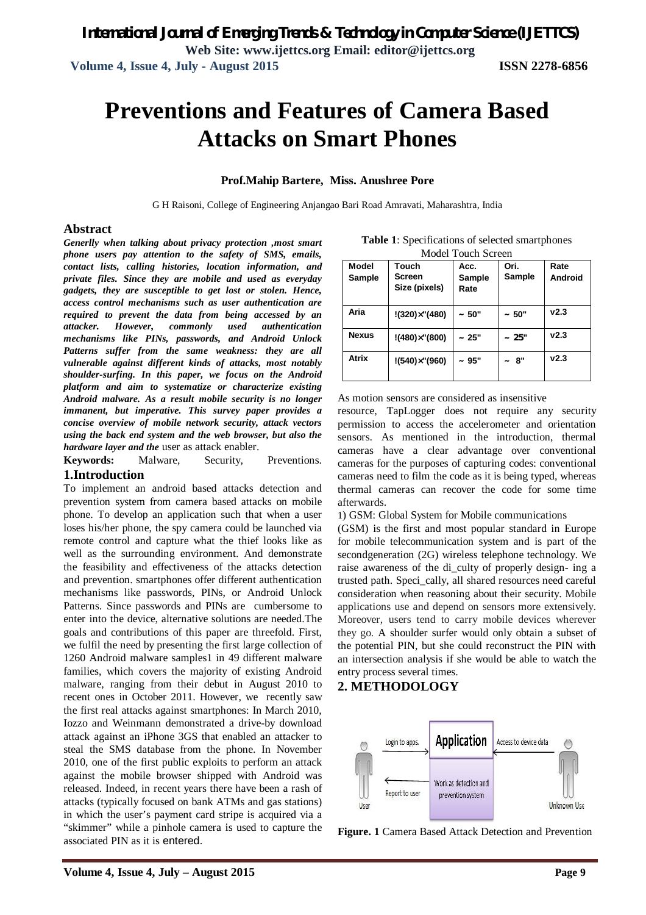*International Journal of Emerging Trends & Technology in Computer Science (IJETTCS)* **Web Site: www.ijettcs.org Email: editor@ijettcs.org Volume 4, Issue 4, July - August 2015 ISSN 2278-6856**

# **Preventions and Features of Camera Based Attacks on Smart Phones**

### **Prof.Mahip Bartere, Miss. Anushree Pore**

G H Raisoni, College of Engineering Anjangao Bari Road Amravati, Maharashtra, India

### **Abstract**

*Generlly when talking about privacy protection ,most smart phone users pay attention to the safety of SMS, emails, contact lists, calling histories, location information, and private files. Since they are mobile and used as everyday gadgets, they are susceptible to get lost or stolen. Hence, access control mechanisms such as user authentication are required to prevent the data from being accessed by an attacker. However, commonly used authentication mechanisms like PINs, passwords, and Android Unlock Patterns suffer from the same weakness: they are all vulnerable against different kinds of attacks, most notably shoulder-surfing. In this paper, we focus on the Android platform and aim to systematize or characterize existing Android malware. As a result mobile security is no longer immanent, but imperative. This survey paper provides a concise overview of mobile network security, attack vectors using the back end system and the web browser, but also the hardware layer and the* user as attack enabler.

## **Keywords:** Malware, Security, Preventions.

## **1.Introduction**

To implement an android based attacks detection and prevention system from camera based attacks on mobile phone. To develop an application such that when a user loses his/her phone, the spy camera could be launched via remote control and capture what the thief looks like as well as the surrounding environment. And demonstrate the feasibility and effectiveness of the attacks detection and prevention. smartphones offer different authentication mechanisms like passwords, PINs, or Android Unlock Patterns. Since passwords and PINs are cumbersome to enter into the device, alternative solutions are needed.The goals and contributions of this paper are threefold. First, we fulfil the need by presenting the first large collection of 1260 Android malware samples1 in 49 different malware families, which covers the majority of existing Android malware, ranging from their debut in August 2010 to recent ones in October 2011. However, we recently saw the first real attacks against smartphones: In March 2010, Iozzo and Weinmann demonstrated a drive-by download attack against an iPhone 3GS that enabled an attacker to steal the SMS database from the phone. In November 2010, one of the first public exploits to perform an attack against the mobile browser shipped with Android was released. Indeed, in recent years there have been a rash of attacks (typically focused on bank ATMs and gas stations) in which the user's payment card stripe is acquired via a "skimmer" while a pinhole camera is used to capture the associated PIN as it is entered.

|                        |                                         | <b>NIQUEL LOUCH SCREET</b> |                |                 |
|------------------------|-----------------------------------------|----------------------------|----------------|-----------------|
| Model<br><b>Sample</b> | Touch<br><b>Screen</b><br>Size (pixels) | Acc.<br>Sample<br>Rate     | Ori.<br>Sample | Rate<br>Android |
| Aria                   | $!(320)\times"(480)$                    | $-50"$                     | $~1 - 50"$     | v2.3            |
| <b>Nexus</b>           | $!(480)\times$ "(800)                   | ~125"                      | ~125"          | v2.3            |
| Atrix                  | $!(540)\times$ "(960)                   | $~1$ 95"                   | ~ 8"           | v2.3            |

**Table 1**: Specifications of selected smartphones Model Touch Sereon

As motion sensors are considered as insensitive

resource, TapLogger does not require any security permission to access the accelerometer and orientation sensors. As mentioned in the introduction, thermal cameras have a clear advantage over conventional cameras for the purposes of capturing codes: conventional cameras need to film the code as it is being typed, whereas thermal cameras can recover the code for some time afterwards.

1) GSM: Global System for Mobile communications

(GSM) is the first and most popular standard in Europe for mobile telecommunication system and is part of the secondgeneration (2G) wireless telephone technology. We raise awareness of the di\_culty of properly design- ing a trusted path. Speci\_cally, all shared resources need careful consideration when reasoning about their security. Mobile applications use and depend on sensors more extensively. Moreover, users tend to carry mobile devices wherever they go. A shoulder surfer would only obtain a subset of the potential PIN, but she could reconstruct the PIN with an intersection analysis if she would be able to watch the entry process several times.

## **2. METHODOLOGY**



**Figure. 1** Camera Based Attack Detection and Prevention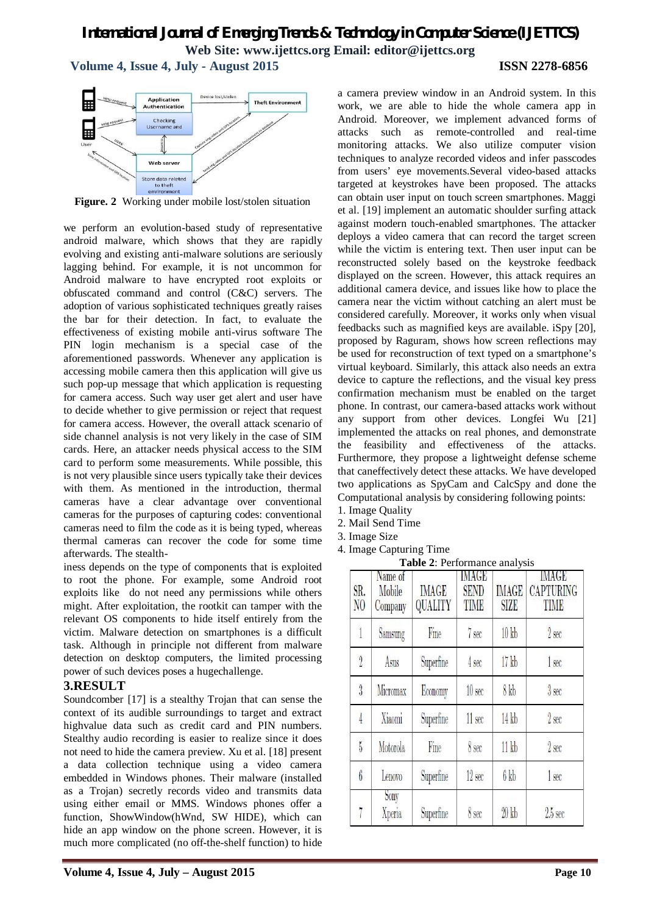## *International Journal of Emerging Trends & Technology in Computer Science (IJETTCS)* **Web Site: www.ijettcs.org Email: editor@ijettcs.org**

 **Volume 4, Issue 4, July - August 2015 ISSN 2278-6856**

### Doutco Lost (stole) Application ┢ **Theft Environment** Authentication Checking Usernam .<br>anc 臣 Web server Store data releted to theft<br>environme

**Figure. 2** Working under mobile lost/stolen situation

we perform an evolution-based study of representative android malware, which shows that they are rapidly evolving and existing anti-malware solutions are seriously lagging behind. For example, it is not uncommon for Android malware to have encrypted root exploits or obfuscated command and control (C&C) servers. The adoption of various sophisticated techniques greatly raises the bar for their detection. In fact, to evaluate the effectiveness of existing mobile anti-virus software The PIN login mechanism is a special case of the aforementioned passwords. Whenever any application is accessing mobile camera then this application will give us such pop-up message that which application is requesting for camera access. Such way user get alert and user have to decide whether to give permission or reject that request for camera access. However, the overall attack scenario of side channel analysis is not very likely in the case of SIM cards. Here, an attacker needs physical access to the SIM card to perform some measurements. While possible, this is not very plausible since users typically take their devices with them. As mentioned in the introduction, thermal cameras have a clear advantage over conventional cameras for the purposes of capturing codes: conventional cameras need to film the code as it is being typed, whereas thermal cameras can recover the code for some time afterwards. The stealth-

iness depends on the type of components that is exploited to root the phone. For example, some Android root exploits like do not need any permissions while others might. After exploitation, the rootkit can tamper with the relevant OS components to hide itself entirely from the victim. Malware detection on smartphones is a difficult task. Although in principle not different from malware detection on desktop computers, the limited processing power of such devices poses a hugechallenge.

## **3.RESULT**

Soundcomber [17] is a stealthy Trojan that can sense the context of its audible surroundings to target and extract highvalue data such as credit card and PIN numbers. Stealthy audio recording is easier to realize since it does not need to hide the camera preview. Xu et al. [18] present a data collection technique using a video camera embedded in Windows phones. Their malware (installed as a Trojan) secretly records video and transmits data using either email or MMS. Windows phones offer a function, ShowWindow(hWnd, SW HIDE), which can hide an app window on the phone screen. However, it is much more complicated (no off-the-shelf function) to hide

a camera preview window in an Android system. In this work, we are able to hide the whole camera app in Android. Moreover, we implement advanced forms of attacks such as remote-controlled and real-time monitoring attacks. We also utilize computer vision techniques to analyze recorded videos and infer passcodes from users' eye movements.Several video-based attacks targeted at keystrokes have been proposed. The attacks can obtain user input on touch screen smartphones. Maggi et al. [19] implement an automatic shoulder surfing attack against modern touch-enabled smartphones. The attacker deploys a video camera that can record the target screen while the victim is entering text. Then user input can be reconstructed solely based on the keystroke feedback displayed on the screen. However, this attack requires an additional camera device, and issues like how to place the camera near the victim without catching an alert must be considered carefully. Moreover, it works only when visual feedbacks such as magnified keys are available. iSpy [20], proposed by Raguram, shows how screen reflections may be used for reconstruction of text typed on a smartphone's virtual keyboard. Similarly, this attack also needs an extra device to capture the reflections, and the visual key press confirmation mechanism must be enabled on the target phone. In contrast, our camera-based attacks work without any support from other devices. Longfei Wu [21] implemented the attacks on real phones, and demonstrate the feasibility and effectiveness of the attacks. Furthermore, they propose a lightweight defense scheme that caneffectively detect these attacks. We have developed two applications as SpyCam and CalcSpy and done the Computational analysis by considering following points:

- 1. Image Quality
- 2. Mail Send Time
- 3. Image Size
- 4. Image Capturing Time

| Table 2: Performance analysis |  |
|-------------------------------|--|
|-------------------------------|--|

| SR.<br>N <sub>0</sub> | Name of<br>Mobile<br>Company | <b>IMAGE</b><br>QUALITY | IMAGE<br><b>SEND</b><br>TIME | <b>IMAGE</b><br>SIZE | <b>IMAGE</b><br><b>CAPTURING</b><br>TIME |
|-----------------------|------------------------------|-------------------------|------------------------------|----------------------|------------------------------------------|
| 1                     | Samsung                      | Fine                    | 7 sec                        | 10 k b               | 2 <sub>sec</sub>                         |
| $\sqrt{2}$            | Asus                         | Superfine               | 4sec                         | 17 k b               | 1 sec                                    |
| 3                     | Micromax                     | Economy                 | 10 <sub>sec</sub>            | 8kb                  | 3 <sub>sec</sub>                         |
| 4                     | Xiaomi                       | Superfine               | 11 <sub>sec</sub>            | 14 kb                | 2 <sub>sec</sub>                         |
| 5                     | Motorola                     | Fine                    | 8 <sub>sec</sub>             | $11$ $kb$            | 2sec                                     |
| $\boldsymbol{6}$      | Lenovo                       | Superfine               | 12 <sub>sec</sub>            | $6$ kb               | 1 sec                                    |
| 7                     | Sony<br>Xperia               | Superfine               | 8 <sub>sec</sub>             | 20 k                 | 2.5 <sub>sec</sub>                       |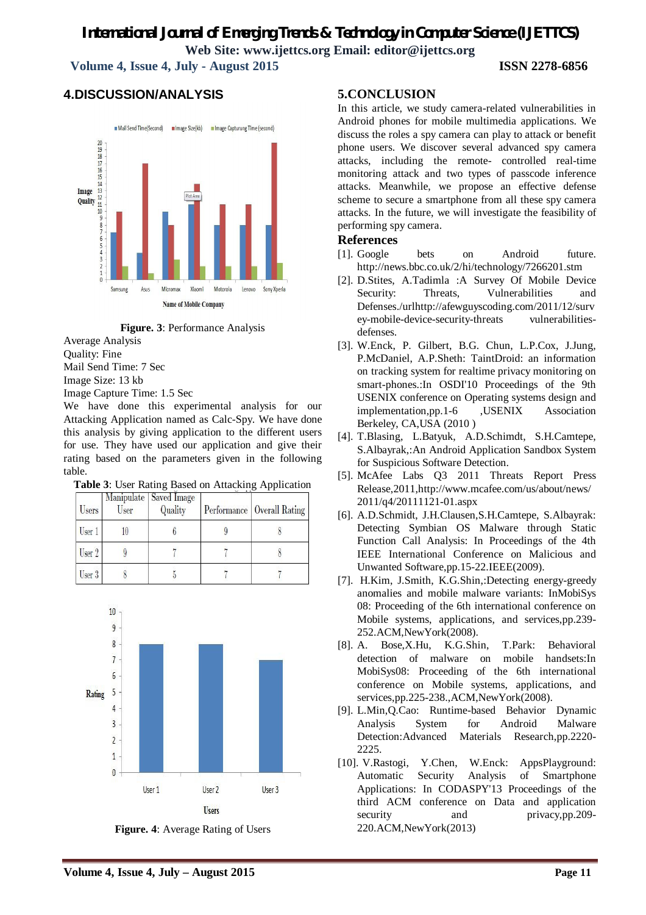## *International Journal of Emerging Trends & Technology in Computer Science (IJETTCS)* **Web Site: www.ijettcs.org Email: editor@ijettcs.org**

 **Volume 4, Issue 4, July - August 2015 ISSN 2278-6856**

## **4.DISCUSSION/ANALYSIS**



**Figure. 3**: Performance Analysis

Average Analysis Quality: Fine

Mail Send Time: 7 Sec

Image Size: 13 kb

Image Capture Time: 1.5 Sec

We have done this experimental analysis for our Attacking Application named as Calc-Spy. We have done this analysis by giving application to the different users for use. They have used our application and give their rating based on the parameters given in the following table.

|  |  | Table 3: User Rating Based on Attacking Application |  |
|--|--|-----------------------------------------------------|--|
|--|--|-----------------------------------------------------|--|

| Users             | User | Manipulate   Saved Image<br>Quality | Performance   Overall Rating |
|-------------------|------|-------------------------------------|------------------------------|
| User <sub>1</sub> |      |                                     |                              |
| User 2            |      |                                     |                              |
| User 3            |      |                                     |                              |



**Figure. 4**: Average Rating of Users

## **5.CONCLUSION**

In this article, we study camera-related vulnerabilities in Android phones for mobile multimedia applications. We discuss the roles a spy camera can play to attack or benefit phone users. We discover several advanced spy camera attacks, including the remote- controlled real-time monitoring attack and two types of passcode inference attacks. Meanwhile, we propose an effective defense scheme to secure a smartphone from all these spy camera attacks. In the future, we will investigate the feasibility of performing spy camera.

## **References**

- [1]. Google bets on Android future. http://news.bbc.co.uk/2/hi/technology/7266201.stm
- [2]. D.Stites, A.Tadimla :A Survey Of Mobile Device Security: Threats, Vulnerabilities and Defenses./urlhttp://afewguyscoding.com/2011/12/surv ey-mobile-device-security-threats vulnerabilitiesdefenses.
- [3]. W.Enck, P. Gilbert, B.G. Chun, L.P.Cox, J.Jung, P.McDaniel, A.P.Sheth: TaintDroid: an information on tracking system for realtime privacy monitoring on smart-phones.:In OSDI'10 Proceedings of the 9th USENIX conference on Operating systems design and implementation,pp.1-6 ,USENIX Association Berkeley, CA,USA (2010 )
- [4]. T.Blasing, L.Batyuk, A.D.Schimdt, S.H.Camtepe, S.Albayrak,:An Android Application Sandbox System for Suspicious Software Detection.
- [5]. McAfee Labs Q3 2011 Threats Report Press Release,2011,http://www.mcafee.com/us/about/news/ 2011/q4/20111121-01.aspx
- [6]. A.D.Schmidt, J.H.Clausen,S.H.Camtepe, S.Albayrak: Detecting Symbian OS Malware through Static Function Call Analysis: In Proceedings of the 4th IEEE International Conference on Malicious and Unwanted Software,pp.15-22.IEEE(2009).
- [7]. H.Kim, J.Smith, K.G.Shin,:Detecting energy-greedy anomalies and mobile malware variants: InMobiSys 08: Proceeding of the 6th international conference on Mobile systems, applications, and services,pp.239- 252.ACM,NewYork(2008).
- [8]. A. Bose,X.Hu, K.G.Shin, T.Park: Behavioral detection of malware on mobile handsets:In MobiSys08: Proceeding of the 6th international conference on Mobile systems, applications, and services,pp.225-238.,ACM,NewYork(2008).
- [9]. L.Min,Q.Cao: Runtime-based Behavior Dynamic Analysis System for Android Malware Detection:Advanced Materials Research,pp.2220- 2225.
- [10]. V.Rastogi, Y.Chen, W.Enck: AppsPlayground: Automatic Security Analysis of Smartphone Applications: In CODASPY'13 Proceedings of the third ACM conference on Data and application security and privacy,pp.209-220.ACM,NewYork(2013)